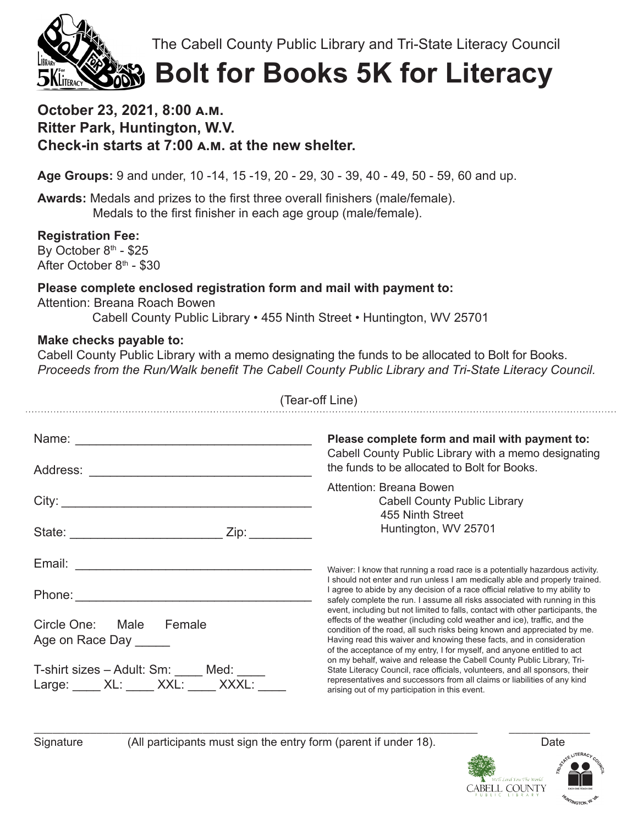The Cabell County Public Library and Tri-State Literacy Council



# **Bolt for Books 5K for Literacy**

## **October 23, 2021, 8:00 a.m. Ritter Park, Huntington, W.V. Check-in starts at 7:00 a.m. at the new shelter.**

**Age Groups:** 9 and under, 10 -14, 15 -19, 20 - 29, 30 - 39, 40 - 49, 50 - 59, 60 and up.

**Awards:** Medals and prizes to the first three overall finishers (male/female). Medals to the first finisher in each age group (male/female).

**Registration Fee:** By October  $8<sup>th</sup>$  - \$25 After October  $8<sup>th</sup>$  - \$30

### **Please complete enclosed registration form and mail with payment to:**

Attention: Breana Roach Bowen

Cabell County Public Library • 455 Ninth Street • Huntington, WV 25701

### **Make checks payable to:**

Cabell County Public Library with a memo designating the funds to be allocated to Bolt for Books. *Proceeds from the Run/Walk benefit The Cabell County Public Library and Tri-State Literacy Council.*

| (Tear-off Line)                                                                                                  |                                                                                                                                                                                                                                                                                                                                                                                                                                                                                                                                                                                                                                                                                                                                                                     |  |
|------------------------------------------------------------------------------------------------------------------|---------------------------------------------------------------------------------------------------------------------------------------------------------------------------------------------------------------------------------------------------------------------------------------------------------------------------------------------------------------------------------------------------------------------------------------------------------------------------------------------------------------------------------------------------------------------------------------------------------------------------------------------------------------------------------------------------------------------------------------------------------------------|--|
| Name: <u>___________________________________</u>                                                                 | Please complete form and mail with payment to:<br>Cabell County Public Library with a memo designating<br>the funds to be allocated to Bolt for Books.                                                                                                                                                                                                                                                                                                                                                                                                                                                                                                                                                                                                              |  |
|                                                                                                                  | Attention: Breana Bowen<br><b>Cabell County Public Library</b><br>455 Ninth Street<br>Huntington, WV 25701                                                                                                                                                                                                                                                                                                                                                                                                                                                                                                                                                                                                                                                          |  |
|                                                                                                                  |                                                                                                                                                                                                                                                                                                                                                                                                                                                                                                                                                                                                                                                                                                                                                                     |  |
|                                                                                                                  | Waiver: I know that running a road race is a potentially hazardous activity.<br>I should not enter and run unless I am medically able and properly trained.<br>I agree to abide by any decision of a race official relative to my ability to                                                                                                                                                                                                                                                                                                                                                                                                                                                                                                                        |  |
| Circle One: Male Female<br>Age on Race Day<br>T-shirt sizes - Adult: Sm: ____ Med: ____<br>Large: XL: XXL: XXXL: | safely complete the run. I assume all risks associated with running in this<br>event, including but not limited to falls, contact with other participants, the<br>effects of the weather (including cold weather and ice), traffic, and the<br>condition of the road, all such risks being known and appreciated by me.<br>Having read this waiver and knowing these facts, and in consideration<br>of the acceptance of my entry, I for myself, and anyone entitled to act<br>on my behalf, waive and release the Cabell County Public Library, Tri-<br>State Literacy Council, race officials, volunteers, and all sponsors, their<br>representatives and successors from all claims or liabilities of any kind<br>arising out of my participation in this event. |  |

\_\_\_\_\_\_\_\_\_\_\_\_\_\_\_\_\_\_\_\_\_\_\_\_\_\_\_\_\_\_\_\_\_\_\_\_\_\_\_\_\_\_\_\_\_\_\_\_\_\_\_\_\_\_\_\_\_\_\_\_\_\_\_\_\_\_\_\_\_\_\_ \_\_\_\_\_\_\_\_\_\_\_\_\_ Signature (All participants must sign the entry form (parent if under 18). Date